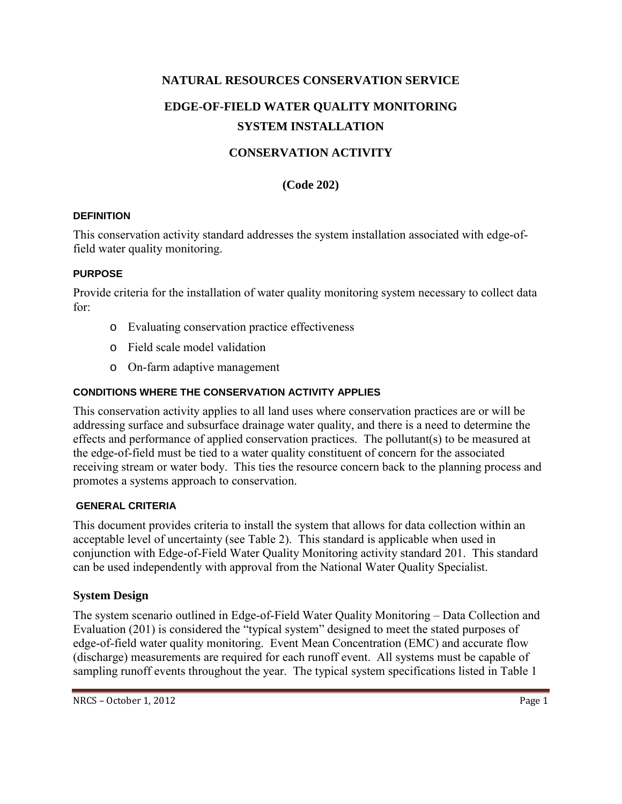# **NATURAL RESOURCES CONSERVATION SERVICE EDGE-OF-FIELD WATER QUALITY MONITORING SYSTEM INSTALLATION**

# **CONSERVATION ACTIVITY**

#### **(Code 202)**

#### **DEFINITION**

This conservation activity standard addresses the system installation associated with edge-offield water quality monitoring.

#### **PURPOSE**

Provide criteria for the installation of water quality monitoring system necessary to collect data for:

- o Evaluating conservation practice effectiveness
- o Field scale model validation
- o On-farm adaptive management

#### **CONDITIONS WHERE THE CONSERVATION ACTIVITY APPLIES**

This conservation activity applies to all land uses where conservation practices are or will be addressing surface and subsurface drainage water quality, and there is a need to determine the effects and performance of applied conservation practices. The pollutant(s) to be measured at the edge-of-field must be tied to a water quality constituent of concern for the associated receiving stream or water body. This ties the resource concern back to the planning process and promotes a systems approach to conservation.

#### **GENERAL CRITERIA**

This document provides criteria to install the system that allows for data collection within an acceptable level of uncertainty (see Table 2). This standard is applicable when used in conjunction with Edge-of-Field Water Quality Monitoring activity standard 201. This standard can be used independently with approval from the National Water Quality Specialist.

#### **System Design**

The system scenario outlined in Edge-of-Field Water Quality Monitoring – Data Collection and Evaluation (201) is considered the "typical system" designed to meet the stated purposes of edge-of-field water quality monitoring. Event Mean Concentration (EMC) and accurate flow (discharge) measurements are required for each runoff event. All systems must be capable of sampling runoff events throughout the year. The typical system specifications listed in Table 1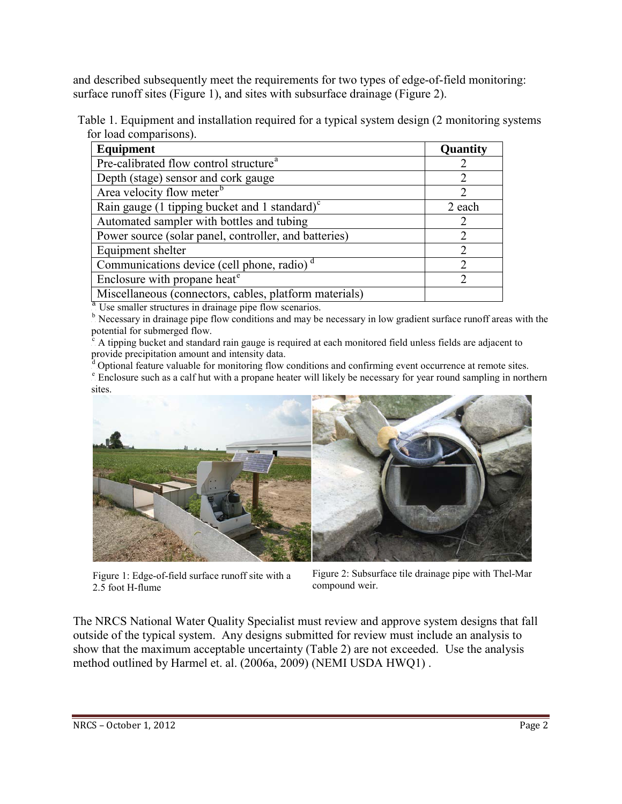and described subsequently meet the requirements for two types of edge-of-field monitoring: surface runoff sites (Figure 1), and sites with subsurface drainage (Figure 2).

Table 1. Equipment and installation required for a typical system design (2 monitoring systems for load comparisons).

| Equipment                                               | Quantity                    |
|---------------------------------------------------------|-----------------------------|
| Pre-calibrated flow control structure <sup>a</sup>      |                             |
| Depth (stage) sensor and cork gauge                     |                             |
| Area velocity flow meter <sup>b</sup>                   | $\mathcal{D}_{\mathcal{L}}$ |
| Rain gauge (1 tipping bucket and 1 standard) $\text{c}$ | 2 each                      |
| Automated sampler with bottles and tubing               | $\mathcal{D}_{\mathcal{A}}$ |
| Power source (solar panel, controller, and batteries)   | $\mathcal{D}_{\mathcal{L}}$ |
| Equipment shelter                                       | $\mathcal{D}_{\mathcal{L}}$ |
| Communications device (cell phone, radio) <sup>d</sup>  | $\mathfrak{D}$              |
| Enclosure with propane heat <sup>e</sup>                |                             |
| Miscellaneous (connectors, cables, platform materials)  |                             |

<sup>a</sup>. Use smaller structures in drainage pipe flow scenarios.

 $<sup>b</sup>$  Necessary in drainage pipe flow conditions and may be necessary in low gradient surface runoff areas with the</sup> potential for submerged flow.

 $\bar{c}$ <sup>P</sup> A tipping bucket and standard rain gauge is required at each monitored field unless fields are adjacent to provide precipitation amount and intensity data.

<sup>d</sup> Optional feature valuable for monitoring flow conditions and confirming event occurrence at remote sites. <sup>e</sup> Enclosure such as a calf hut with a propane heater will likely be necessary for year round sampling in northern sites.



Figure 1: Edge-of-field surface runoff site with a 2.5 foot H-flume

Figure 2: Subsurface tile drainage pipe with Thel-Mar compound weir.

The NRCS National Water Quality Specialist must review and approve system designs that fall outside of the typical system. Any designs submitted for review must include an analysis to show that the maximum acceptable uncertainty (Table 2) are not exceeded. Use the analysis method outlined by Harmel et. al. (2006a, 2009) (NEMI USDA HWQ1) .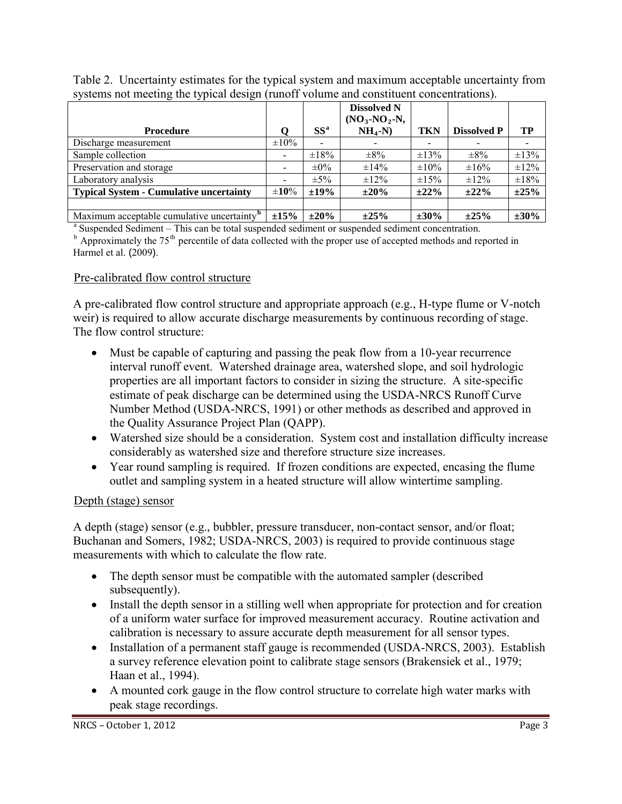| $\sigma$ of the metric and $\sigma$ and $\sigma$ and $\sigma$ and $\sigma$ and $\sigma$ and $\sigma$ and $\sigma$ and $\sigma$ and $\sigma$ and $\sigma$ and $\sigma$ |            |            |                                     |            |                    |            |  |
|-----------------------------------------------------------------------------------------------------------------------------------------------------------------------|------------|------------|-------------------------------------|------------|--------------------|------------|--|
|                                                                                                                                                                       |            |            | <b>Dissolved N</b><br>$(NO3-NO2-N,$ |            |                    |            |  |
| <b>Procedure</b>                                                                                                                                                      |            | $SS^a$     | $NH_4-N$                            | <b>TKN</b> | <b>Dissolved P</b> | TP         |  |
| Discharge measurement                                                                                                                                                 | $\pm 10\%$ |            |                                     |            |                    |            |  |
| Sample collection                                                                                                                                                     |            | $\pm 18\%$ | $\pm 8\%$                           | $\pm 13\%$ | $\pm 8\%$          | $\pm 13\%$ |  |
| Preservation and storage                                                                                                                                              |            | $\pm 0\%$  | $\pm 14\%$                          | $\pm 10\%$ | $\pm 16\%$         | $\pm 12\%$ |  |
| Laboratory analysis                                                                                                                                                   |            | $\pm 5\%$  | $\pm 12\%$                          | $\pm 15\%$ | $\pm 12\%$         | $\pm 18\%$ |  |
| <b>Typical System - Cumulative uncertainty</b>                                                                                                                        | $\pm 10\%$ | $±19\%$    | $\pm 20\%$                          | $\pm 22\%$ | $\pm 22\%$         | $\pm 25\%$ |  |
|                                                                                                                                                                       |            |            |                                     |            |                    |            |  |
| Maximum acceptable cumulative uncertainty. <sup>b</sup>                                                                                                               | ±15%       | $\pm 20\%$ | ±25%                                | $\pm 30\%$ | ±25%               | $\pm 30\%$ |  |

Table 2. Uncertainty estimates for the typical system and maximum acceptable uncertainty from systems not meeting the typical design (runoff volume and constituent concentrations).

<sup>a</sup> Suspended Sediment – This can be total suspended sediment or suspended sediment concentration.

 $h$  Approximately the 75<sup>th</sup> percentile of data collected with the proper use of accepted methods and reported in Harmel et al. (2009).

#### Pre-calibrated flow control structure

A pre-calibrated flow control structure and appropriate approach (e.g., H-type flume or V-notch weir) is required to allow accurate discharge measurements by continuous recording of stage. The flow control structure:

- Must be capable of capturing and passing the peak flow from a 10-year recurrence interval runoff event. Watershed drainage area, watershed slope, and soil hydrologic properties are all important factors to consider in sizing the structure. A site-specific estimate of peak discharge can be determined using the USDA-NRCS Runoff Curve Number Method (USDA-NRCS, 1991) or other methods as described and approved in the Quality Assurance Project Plan (QAPP).
- Watershed size should be a consideration. System cost and installation difficulty increase considerably as watershed size and therefore structure size increases.
- Year round sampling is required. If frozen conditions are expected, encasing the flume outlet and sampling system in a heated structure will allow wintertime sampling.

#### Depth (stage) sensor

A depth (stage) sensor (e.g., bubbler, pressure transducer, non-contact sensor, and/or float; Buchanan and Somers, 1982; USDA-NRCS, 2003) is required to provide continuous stage measurements with which to calculate the flow rate.

- The depth sensor must be compatible with the automated sampler (described subsequently).
- Install the depth sensor in a stilling well when appropriate for protection and for creation of a uniform water surface for improved measurement accuracy. Routine activation and calibration is necessary to assure accurate depth measurement for all sensor types.
- Installation of a permanent staff gauge is recommended (USDA-NRCS, 2003). Establish a survey reference elevation point to calibrate stage sensors (Brakensiek et al., 1979; Haan et al., 1994).
- A mounted cork gauge in the flow control structure to correlate high water marks with peak stage recordings.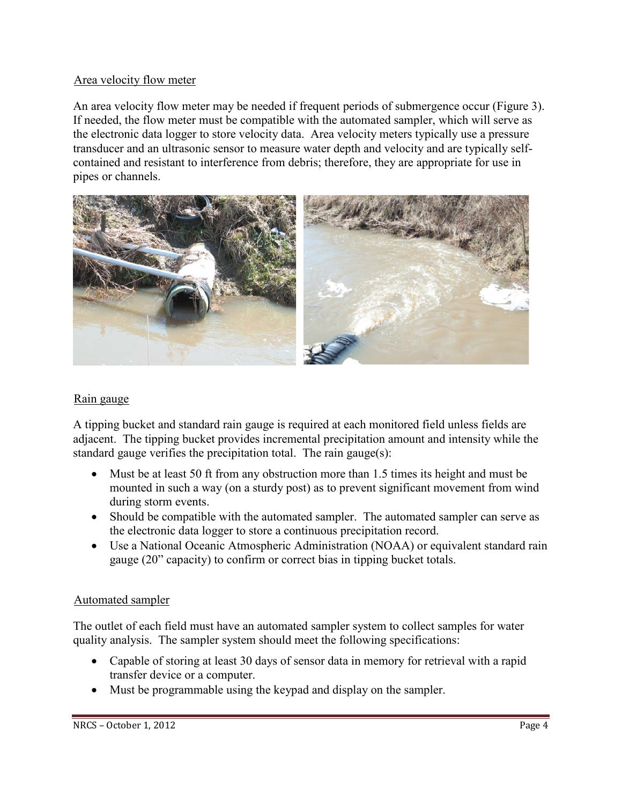#### Area velocity flow meter

An area velocity flow meter may be needed if frequent periods of submergence occur (Figure 3). If needed, the flow meter must be compatible with the automated sampler, which will serve as the electronic data logger to store velocity data. Area velocity meters typically use a pressure transducer and an ultrasonic sensor to measure water depth and velocity and are typically selfcontained and resistant to interference from debris; therefore, they are appropriate for use in pipes or channels.



#### Rain gauge

A tipping bucket and standard rain gauge is required at each monitored field unless fields are adjacent. The tipping bucket provides incremental precipitation amount and intensity while the standard gauge verifies the precipitation total. The rain gauge(s):

- Must be at least 50 ft from any obstruction more than 1.5 times its height and must be mounted in such a way (on a sturdy post) as to prevent significant movement from wind during storm events.
- Should be compatible with the automated sampler. The automated sampler can serve as the electronic data logger to store a continuous precipitation record.
- Use a National Oceanic Atmospheric Administration (NOAA) or equivalent standard rain gauge (20" capacity) to confirm or correct bias in tipping bucket totals.

#### Automated sampler

The outlet of each field must have an automated sampler system to collect samples for water quality analysis. The sampler system should meet the following specifications:

- Capable of storing at least 30 days of sensor data in memory for retrieval with a rapid transfer device or a computer.
- Must be programmable using the keypad and display on the sampler.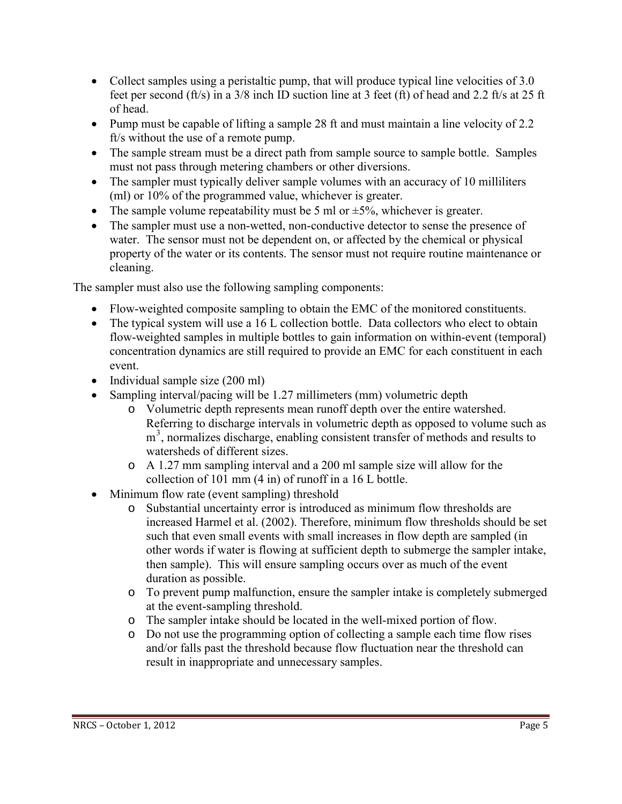- Collect samples using a peristaltic pump, that will produce typical line velocities of 3.0 feet per second (ft/s) in a 3/8 inch ID suction line at 3 feet (ft) of head and 2.2 ft/s at 25 ft of head.
- Pump must be capable of lifting a sample 28 ft and must maintain a line velocity of 2.2 ft/s without the use of a remote pump.
- The sample stream must be a direct path from sample source to sample bottle. Samples must not pass through metering chambers or other diversions.
- The sampler must typically deliver sample volumes with an accuracy of 10 milliliters (ml) or 10% of the programmed value, whichever is greater.
- The sample volume repeatability must be 5 ml or  $\pm$ 5%, whichever is greater.
- The sampler must use a non-wetted, non-conductive detector to sense the presence of water. The sensor must not be dependent on, or affected by the chemical or physical property of the water or its contents. The sensor must not require routine maintenance or cleaning.

The sampler must also use the following sampling components:

- Flow-weighted composite sampling to obtain the EMC of the monitored constituents.
- The typical system will use a 16 L collection bottle. Data collectors who elect to obtain flow-weighted samples in multiple bottles to gain information on within-event (temporal) concentration dynamics are still required to provide an EMC for each constituent in each event.
- Individual sample size (200 ml)
- Sampling interval/pacing will be 1.27 millimeters (mm) volumetric depth
	- o Volumetric depth represents mean runoff depth over the entire watershed. Referring to discharge intervals in volumetric depth as opposed to volume such as m<sup>3</sup>, normalizes discharge, enabling consistent transfer of methods and results to watersheds of different sizes.
	- o A 1.27 mm sampling interval and a 200 ml sample size will allow for the collection of 101 mm (4 in) of runoff in a 16 L bottle.
- Minimum flow rate (event sampling) threshold
	- o Substantial uncertainty error is introduced as minimum flow thresholds are increased Harmel et al. (2002). Therefore, minimum flow thresholds should be set such that even small events with small increases in flow depth are sampled (in other words if water is flowing at sufficient depth to submerge the sampler intake, then sample). This will ensure sampling occurs over as much of the event duration as possible.
	- o To prevent pump malfunction, ensure the sampler intake is completely submerged at the event-sampling threshold.
	- o The sampler intake should be located in the well-mixed portion of flow.
	- o Do not use the programming option of collecting a sample each time flow rises and/or falls past the threshold because flow fluctuation near the threshold can result in inappropriate and unnecessary samples.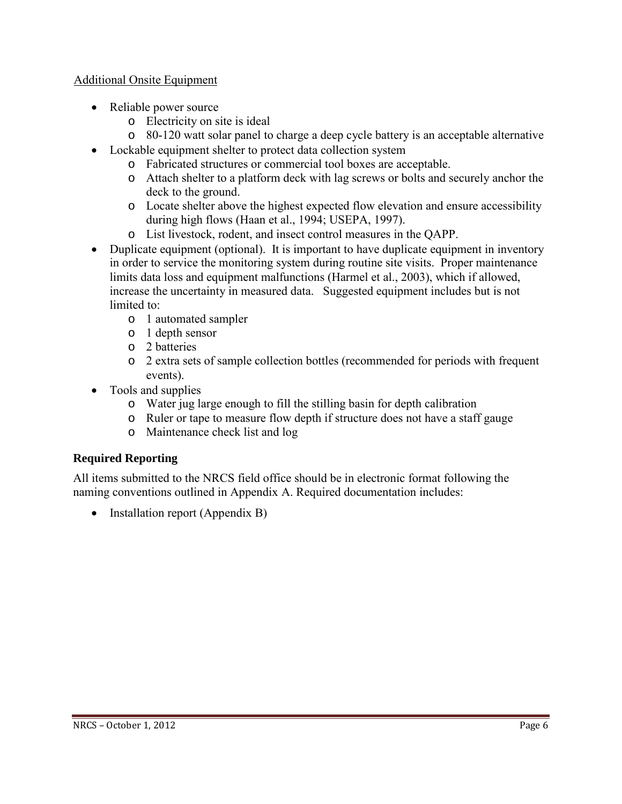#### Additional Onsite Equipment

- Reliable power source
	- o Electricity on site is ideal
	- o 80-120 watt solar panel to charge a deep cycle battery is an acceptable alternative
- Lockable equipment shelter to protect data collection system
	- o Fabricated structures or commercial tool boxes are acceptable.
	- o Attach shelter to a platform deck with lag screws or bolts and securely anchor the deck to the ground.
	- o Locate shelter above the highest expected flow elevation and ensure accessibility during high flows (Haan et al., 1994; USEPA, 1997).
	- o List livestock, rodent, and insect control measures in the QAPP.
- Duplicate equipment (optional). It is important to have duplicate equipment in inventory in order to service the monitoring system during routine site visits. Proper maintenance limits data loss and equipment malfunctions (Harmel et al., 2003), which if allowed, increase the uncertainty in measured data. Suggested equipment includes but is not limited to:
	- o 1 automated sampler
	- o 1 depth sensor
	- o 2 batteries
	- o 2 extra sets of sample collection bottles (recommended for periods with frequent events).
- Tools and supplies
	- o Water jug large enough to fill the stilling basin for depth calibration
	- o Ruler or tape to measure flow depth if structure does not have a staff gauge
	- o Maintenance check list and log

# **Required Reporting**

All items submitted to the NRCS field office should be in electronic format following the naming conventions outlined in Appendix A. Required documentation includes:

• Installation report (Appendix B)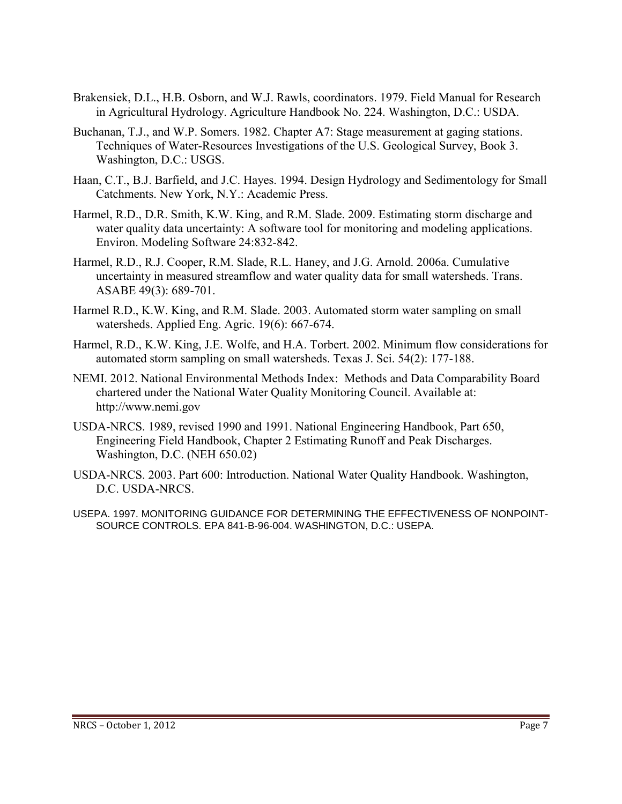- Brakensiek, D.L., H.B. Osborn, and W.J. Rawls, coordinators. 1979. Field Manual for Research in Agricultural Hydrology. Agriculture Handbook No. 224. Washington, D.C.: USDA.
- Buchanan, T.J., and W.P. Somers. 1982. Chapter A7: Stage measurement at gaging stations. Techniques of Water-Resources Investigations of the U.S. Geological Survey, Book 3. Washington, D.C.: USGS.
- Haan, C.T., B.J. Barfield, and J.C. Hayes. 1994. Design Hydrology and Sedimentology for Small Catchments. New York, N.Y.: Academic Press.
- Harmel, R.D., D.R. Smith, K.W. King, and R.M. Slade. 2009. Estimating storm discharge and water quality data uncertainty: A software tool for monitoring and modeling applications. Environ. Modeling Software 24:832-842.
- Harmel, R.D., R.J. Cooper, R.M. Slade, R.L. Haney, and J.G. Arnold. 2006a. Cumulative uncertainty in measured streamflow and water quality data for small watersheds. Trans. ASABE 49(3): 689-701.
- Harmel R.D., K.W. King, and R.M. Slade. 2003. Automated storm water sampling on small watersheds. Applied Eng. Agric. 19(6): 667-674.
- Harmel, R.D., K.W. King, J.E. Wolfe, and H.A. Torbert. 2002. Minimum flow considerations for automated storm sampling on small watersheds. Texas J. Sci. 54(2): 177-188.
- NEMI. 2012. National Environmental Methods Index: Methods and Data Comparability Board chartered under the National Water Quality Monitoring Council. Available at: [http://www.nemi.gov](http://www.nemi.gov/)
- USDA-NRCS. 1989, revised 1990 and 1991. National Engineering Handbook, Part 650, Engineering Field Handbook, Chapter 2 Estimating Runoff and Peak Discharges. Washington, D.C. (NEH 650.02)
- USDA-NRCS. 2003. Part 600: Introduction. National Water Quality Handbook. Washington, D.C. USDA-NRCS.
- USEPA. 1997. MONITORING GUIDANCE FOR DETERMINING THE EFFECTIVENESS OF NONPOINT-SOURCE CONTROLS. EPA 841-B-96-004. WASHINGTON, D.C.: USEPA.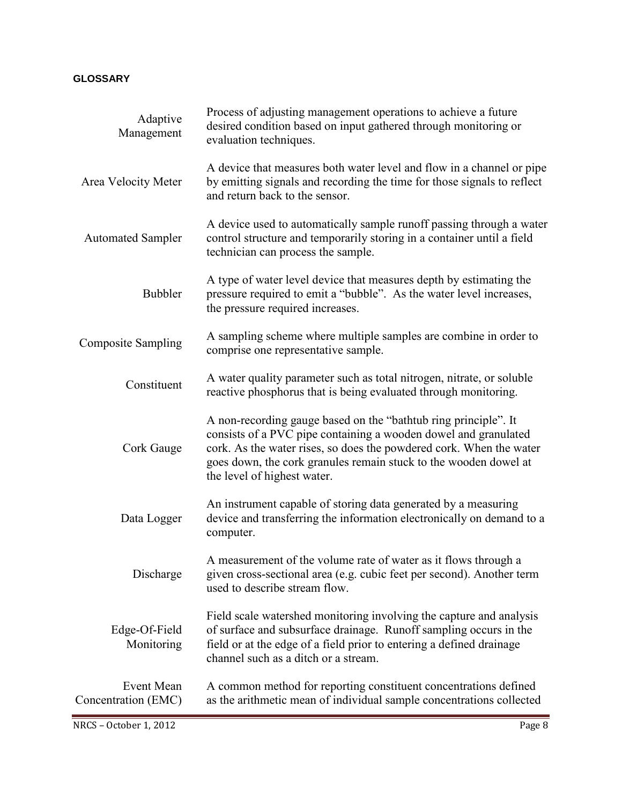#### **GLOSSARY**

| Adaptive<br>Management            | Process of adjusting management operations to achieve a future<br>desired condition based on input gathered through monitoring or<br>evaluation techniques.                                                                                                                                                  |
|-----------------------------------|--------------------------------------------------------------------------------------------------------------------------------------------------------------------------------------------------------------------------------------------------------------------------------------------------------------|
| Area Velocity Meter               | A device that measures both water level and flow in a channel or pipe<br>by emitting signals and recording the time for those signals to reflect<br>and return back to the sensor.                                                                                                                           |
| <b>Automated Sampler</b>          | A device used to automatically sample runoff passing through a water<br>control structure and temporarily storing in a container until a field<br>technician can process the sample.                                                                                                                         |
| <b>Bubbler</b>                    | A type of water level device that measures depth by estimating the<br>pressure required to emit a "bubble". As the water level increases,<br>the pressure required increases.                                                                                                                                |
| <b>Composite Sampling</b>         | A sampling scheme where multiple samples are combine in order to<br>comprise one representative sample.                                                                                                                                                                                                      |
| Constituent                       | A water quality parameter such as total nitrogen, nitrate, or soluble<br>reactive phosphorus that is being evaluated through monitoring.                                                                                                                                                                     |
| Cork Gauge                        | A non-recording gauge based on the "bathtub ring principle". It<br>consists of a PVC pipe containing a wooden dowel and granulated<br>cork. As the water rises, so does the powdered cork. When the water<br>goes down, the cork granules remain stuck to the wooden dowel at<br>the level of highest water. |
| Data Logger                       | An instrument capable of storing data generated by a measuring<br>device and transferring the information electronically on demand to a<br>computer.                                                                                                                                                         |
| Discharge                         | A measurement of the volume rate of water as it flows through a<br>given cross-sectional area (e.g. cubic feet per second). Another term<br>used to describe stream flow.                                                                                                                                    |
| Edge-Of-Field<br>Monitoring       | Field scale watershed monitoring involving the capture and analysis<br>of surface and subsurface drainage. Runoff sampling occurs in the<br>field or at the edge of a field prior to entering a defined drainage<br>channel such as a ditch or a stream.                                                     |
| Event Mean<br>Concentration (EMC) | A common method for reporting constituent concentrations defined<br>as the arithmetic mean of individual sample concentrations collected                                                                                                                                                                     |
| NRCS - October 1, 2012            | Page 8                                                                                                                                                                                                                                                                                                       |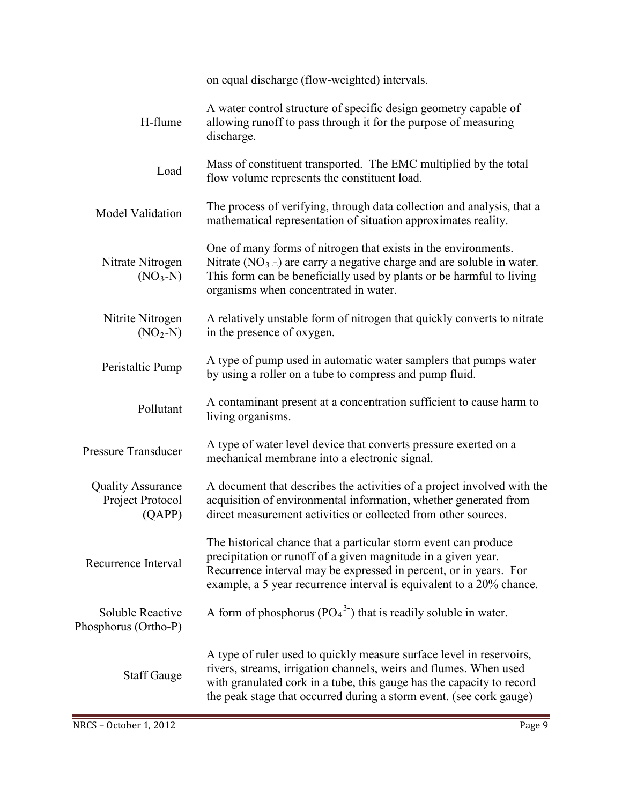|                                                        | on equal discharge (flow-weighted) intervals.                                                                                                                                                                                                                                             |  |  |  |  |
|--------------------------------------------------------|-------------------------------------------------------------------------------------------------------------------------------------------------------------------------------------------------------------------------------------------------------------------------------------------|--|--|--|--|
| H-flume                                                | A water control structure of specific design geometry capable of<br>allowing runoff to pass through it for the purpose of measuring<br>discharge.                                                                                                                                         |  |  |  |  |
| Load                                                   | Mass of constituent transported. The EMC multiplied by the total<br>flow volume represents the constituent load.                                                                                                                                                                          |  |  |  |  |
| Model Validation                                       | The process of verifying, through data collection and analysis, that a<br>mathematical representation of situation approximates reality.                                                                                                                                                  |  |  |  |  |
| Nitrate Nitrogen<br>$(NO3-N)$                          | One of many forms of nitrogen that exists in the environments.<br>Nitrate ( $NO_3$ ) are carry a negative charge and are soluble in water.<br>This form can be beneficially used by plants or be harmful to living<br>organisms when concentrated in water.                               |  |  |  |  |
| Nitrite Nitrogen<br>$(NO2-N)$                          | A relatively unstable form of nitrogen that quickly converts to nitrate<br>in the presence of oxygen.                                                                                                                                                                                     |  |  |  |  |
| Peristaltic Pump                                       | A type of pump used in automatic water samplers that pumps water<br>by using a roller on a tube to compress and pump fluid.                                                                                                                                                               |  |  |  |  |
| Pollutant                                              | A contaminant present at a concentration sufficient to cause harm to<br>living organisms.                                                                                                                                                                                                 |  |  |  |  |
| <b>Pressure Transducer</b>                             | A type of water level device that converts pressure exerted on a<br>mechanical membrane into a electronic signal.                                                                                                                                                                         |  |  |  |  |
| <b>Quality Assurance</b><br>Project Protocol<br>(QAPP) | A document that describes the activities of a project involved with the<br>acquisition of environmental information, whether generated from<br>direct measurement activities or collected from other sources.                                                                             |  |  |  |  |
| Recurrence Interval                                    | The historical chance that a particular storm event can produce<br>precipitation or runoff of a given magnitude in a given year.<br>Recurrence interval may be expressed in percent, or in years. For<br>example, a 5 year recurrence interval is equivalent to a 20% chance.             |  |  |  |  |
| <b>Soluble Reactive</b><br>Phosphorus (Ortho-P)        | A form of phosphorus $(PO43)$ that is readily soluble in water.                                                                                                                                                                                                                           |  |  |  |  |
| <b>Staff Gauge</b>                                     | A type of ruler used to quickly measure surface level in reservoirs,<br>rivers, streams, irrigation channels, weirs and flumes. When used<br>with granulated cork in a tube, this gauge has the capacity to record<br>the peak stage that occurred during a storm event. (see cork gauge) |  |  |  |  |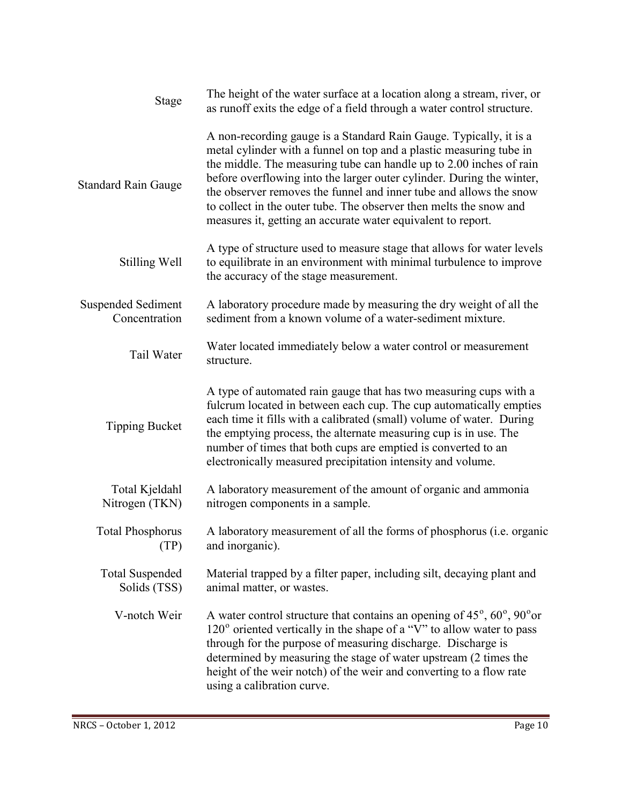| Stage                                      | The height of the water surface at a location along a stream, river, or<br>as runoff exits the edge of a field through a water control structure.                                                                                                                                                                                                                                                                                                                                                     |
|--------------------------------------------|-------------------------------------------------------------------------------------------------------------------------------------------------------------------------------------------------------------------------------------------------------------------------------------------------------------------------------------------------------------------------------------------------------------------------------------------------------------------------------------------------------|
| <b>Standard Rain Gauge</b>                 | A non-recording gauge is a Standard Rain Gauge. Typically, it is a<br>metal cylinder with a funnel on top and a plastic measuring tube in<br>the middle. The measuring tube can handle up to 2.00 inches of rain<br>before overflowing into the larger outer cylinder. During the winter,<br>the observer removes the funnel and inner tube and allows the snow<br>to collect in the outer tube. The observer then melts the snow and<br>measures it, getting an accurate water equivalent to report. |
| Stilling Well                              | A type of structure used to measure stage that allows for water levels<br>to equilibrate in an environment with minimal turbulence to improve<br>the accuracy of the stage measurement.                                                                                                                                                                                                                                                                                                               |
| <b>Suspended Sediment</b><br>Concentration | A laboratory procedure made by measuring the dry weight of all the<br>sediment from a known volume of a water-sediment mixture.                                                                                                                                                                                                                                                                                                                                                                       |
| Tail Water                                 | Water located immediately below a water control or measurement<br>structure.                                                                                                                                                                                                                                                                                                                                                                                                                          |
| <b>Tipping Bucket</b>                      | A type of automated rain gauge that has two measuring cups with a<br>fulcrum located in between each cup. The cup automatically empties<br>each time it fills with a calibrated (small) volume of water. During<br>the emptying process, the alternate measuring cup is in use. The<br>number of times that both cups are emptied is converted to an<br>electronically measured precipitation intensity and volume.                                                                                   |
| Total Kjeldahl<br>Nitrogen (TKN)           | A laboratory measurement of the amount of organic and ammonia<br>nitrogen components in a sample.                                                                                                                                                                                                                                                                                                                                                                                                     |
| <b>Total Phosphorus</b><br>(TP)            | A laboratory measurement of all the forms of phosphorus (i.e. organic<br>and inorganic).                                                                                                                                                                                                                                                                                                                                                                                                              |
| <b>Total Suspended</b><br>Solids (TSS)     | Material trapped by a filter paper, including silt, decaying plant and<br>animal matter, or wastes.                                                                                                                                                                                                                                                                                                                                                                                                   |
| V-notch Weir                               | A water control structure that contains an opening of $45^\circ$ , $60^\circ$ , $90^\circ$ or<br>120° oriented vertically in the shape of a "V" to allow water to pass<br>through for the purpose of measuring discharge. Discharge is<br>determined by measuring the stage of water upstream (2 times the<br>height of the weir notch) of the weir and converting to a flow rate<br>using a calibration curve.                                                                                       |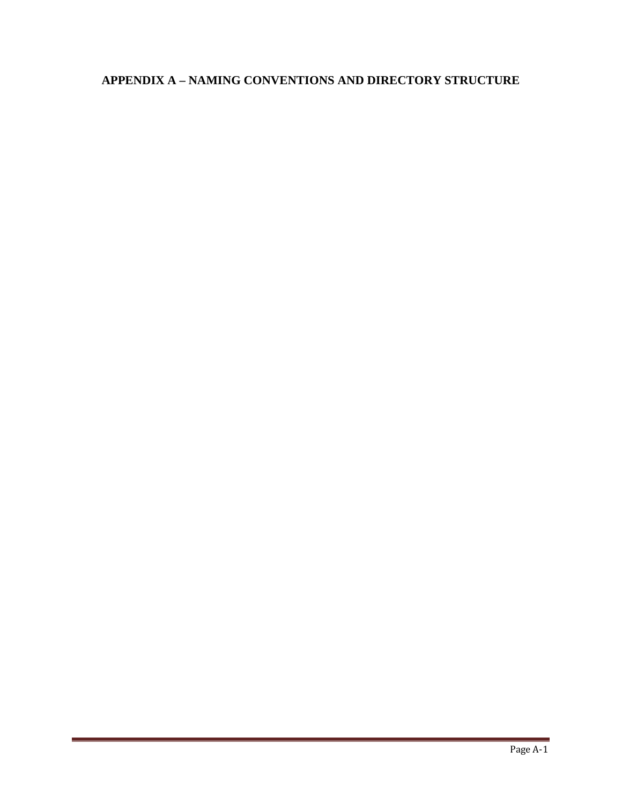# **APPENDIX A – NAMING CONVENTIONS AND DIRECTORY STRUCTURE**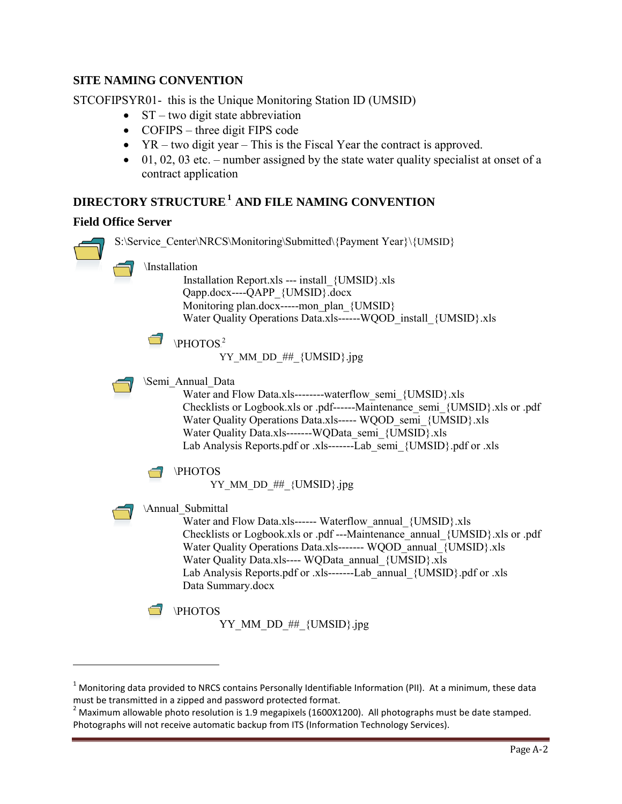#### **SITE NAMING CONVENTION**

STCOFIPSYR01- this is the Unique Monitoring Station ID (UMSID)

- $ST two digit state abbreviation$
- COFIPS three digit FIPS code
- YR two digit year This is the Fiscal Year the contract is approved.
- $\bullet$  01, 02, 03 etc. number assigned by the state water quality specialist at onset of a contract application

### $\mathbf{DIRECTORY}$   $\mathbf{STRUCTURE}^{1}$   $\mathbf{AND}$   $\mathbf{FILE}$   $\mathbf{NAMING}$   $\mathbf{CONVENTION}$

#### **Field Office Server**

-



<sup>&</sup>lt;sup>1</sup> Monitoring data provided to NRCS contains Personally Identifiable Information (PII). At a minimum, these data must be transmitted in a zipped and password protected format.

 $2$  Maximum allowable photo resolution is 1.9 megapixels (1600X1200). All photographs must be date stamped. Photographs will not receive automatic backup from ITS (Information Technology Services).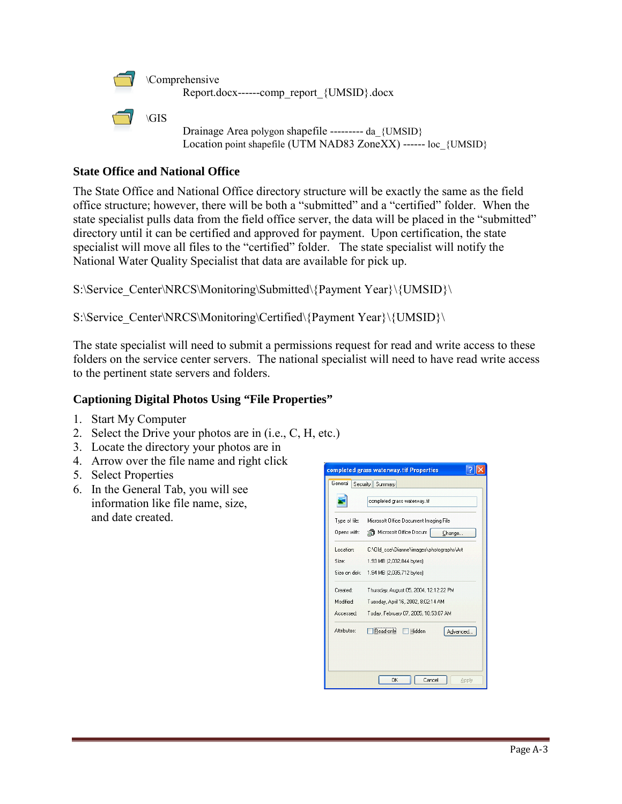

\Comprehensive Report.docx------comp\_report\_{UMSID}.docx



Drainage Area polygon shapefile --------- da {UMSID} Location point shapefile (UTM NAD83 ZoneXX) ------ loc {UMSID}

#### **State Office and National Office**

The State Office and National Office directory structure will be exactly the same as the field office structure; however, there will be both a "submitted" and a "certified" folder. When the state specialist pulls data from the field office server, the data will be placed in the "submitted" directory until it can be certified and approved for payment. Upon certification, the state specialist will move all files to the "certified" folder. The state specialist will notify the National Water Quality Specialist that data are available for pick up.

S:\Service\_Center\NRCS\Monitoring\Submitted\{Payment Year}\{UMSID}\

S:\Service\_Center\NRCS\Monitoring\Certified\{Payment Year}\{UMSID}\

The state specialist will need to submit a permissions request for read and write access to these folders on the service center servers. The national specialist will need to have read write access to the pertinent state servers and folders.

#### **Captioning Digital Photos Using "File Properties"**

- 1. Start My Computer
- 2. Select the Drive your photos are in (i.e., C, H, etc.)
- 3. Locate the directory your photos are in
- 4. Arrow over the file name and right click
- 5. Select Properties
- 6. In the General Tab, you will see information like file name, size, and date created.

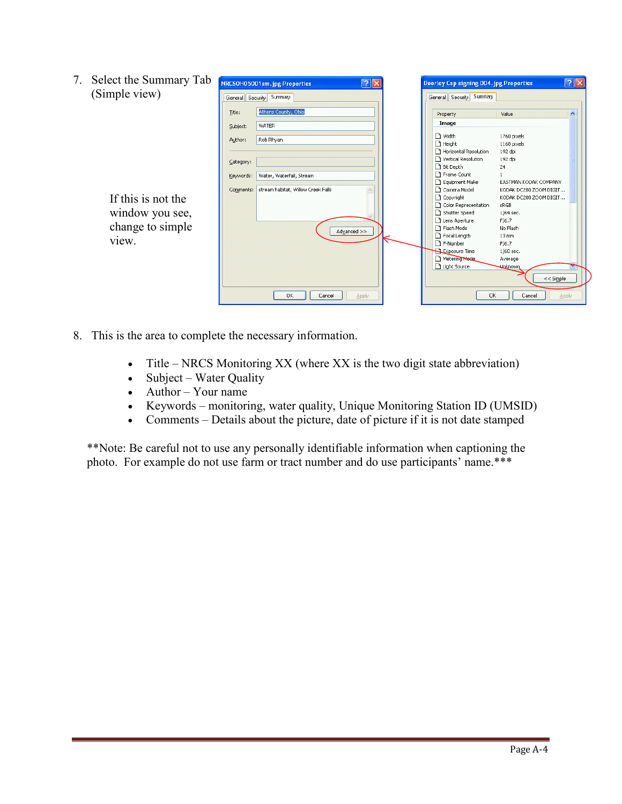| 7. | Select the Summary Tab | $\sqrt{2}$<br>NRCSOH05001sm.jpg Properties |                                    |       | Doorley Csp signing 004.jpg Properties |                       |                           |  |
|----|------------------------|--------------------------------------------|------------------------------------|-------|----------------------------------------|-----------------------|---------------------------|--|
|    | (Simple view)          | General Security Summary                   |                                    |       | General Security Summary               |                       |                           |  |
|    |                        |                                            |                                    |       |                                        |                       |                           |  |
|    |                        | Title:                                     | Athens County, Ohio                |       |                                        | Property              | $\blacktriangle$<br>Value |  |
|    |                        | Subject:                                   | WATER                              |       |                                        | Image                 |                           |  |
|    |                        | Author:                                    | Rob Rhyan                          |       |                                        | □ Width               | 1760 pixels               |  |
|    |                        |                                            |                                    |       |                                        | Height                | 1168 pixels               |  |
|    |                        |                                            |                                    |       |                                        | Horizontal Resolution | 192 dpi                   |  |
|    |                        | Category:                                  |                                    |       |                                        | Vertical Resolution   | 192 dpi                   |  |
|    |                        |                                            |                                    |       |                                        | Bit Depth             | 24                        |  |
|    |                        | Keywords:                                  | Water, Waterfall, Stream           |       |                                        | Frame Count           |                           |  |
|    |                        |                                            |                                    |       |                                        | Equipment Make        | EASTMAN KODAK COMPANY     |  |
|    |                        | Comments:                                  | stream habitat, Willow Creek Falls |       |                                        | Camera Model          | KODAK DC280 ZOOM DIGIT    |  |
|    | If this is not the     |                                            |                                    |       |                                        | Copyright             | KODAK DC280 ZOOM DIGIT    |  |
|    |                        |                                            |                                    |       |                                        | Color Representation  | sRGB                      |  |
|    | window you see,        |                                            |                                    |       |                                        | Shutter Speed         | 1/64 sec.                 |  |
|    |                        |                                            |                                    |       |                                        | Lens Aperture         | F/6.7                     |  |
|    | change to simple       |                                            | Advanced >>                        |       |                                        | 1 Flash Mode          | No Flash                  |  |
|    |                        |                                            |                                    |       |                                        | Focal Length          | 13 mm                     |  |
|    | view.                  |                                            |                                    |       |                                        | F-Number              | F/6.7                     |  |
|    |                        |                                            |                                    |       |                                        | Exposure Time         | 1/60 sec.                 |  |
|    |                        |                                            |                                    |       |                                        | Metering Mede         | Average                   |  |
|    |                        |                                            |                                    |       |                                        | Light Source          | <b>Unknown</b>            |  |
|    |                        |                                            |                                    |       |                                        |                       | $<<$ Simple               |  |
|    |                        |                                            |                                    |       |                                        |                       |                           |  |
|    |                        |                                            | 0K<br>Cancel                       | Apply |                                        | <b>OK</b>             | Cancel<br>Apply           |  |

- 8. This is the area to complete the necessary information.
	- Title NRCS Monitoring XX (where XX is the two digit state abbreviation)
	- Subject Water Quality
	- Author Your name
	- Keywords monitoring, water quality, Unique Monitoring Station ID (UMSID)
	- Comments Details about the picture, date of picture if it is not date stamped

\*\*Note: Be careful not to use any personally identifiable information when captioning the photo. For example do not use farm or tract number and do use participants' name.\*\*\*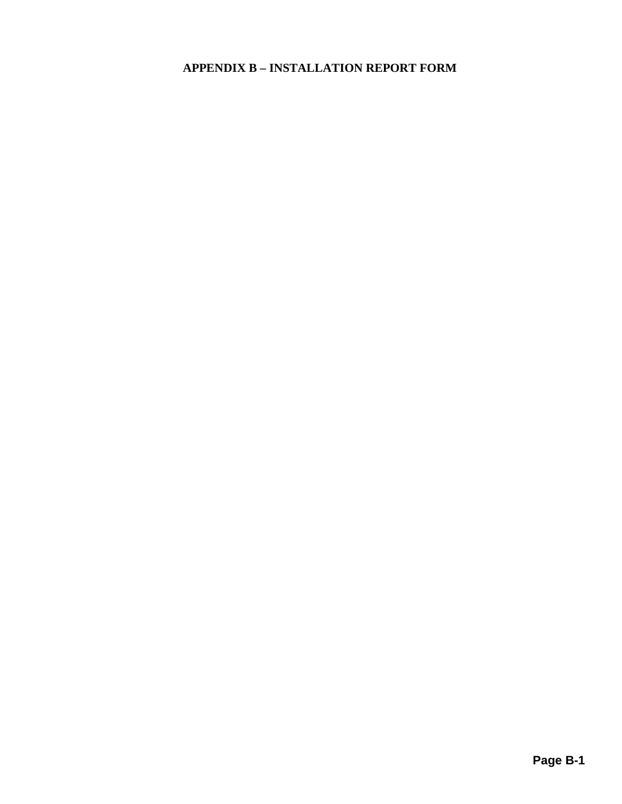# **APPENDIX B – INSTALLATION REPORT FORM**